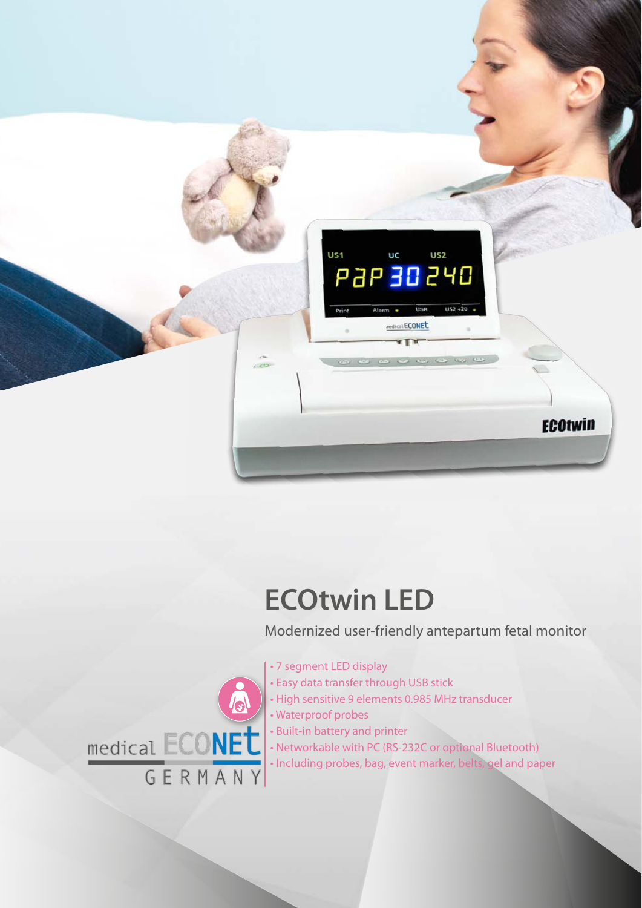

## **ECOtwin LED**

Modernized user-friendly antepartum fetal monitor

- 7 segment LED display
- Easy data transfer through USB stick
- High sensitive 9 elements 0.985 MHz transducer
- Waterproof probes
- Built-in battery and printer
- Networkable with PC (RS-232C or optional Bluetooth)
- Including probes, bag, event marker, belts, gel and paper